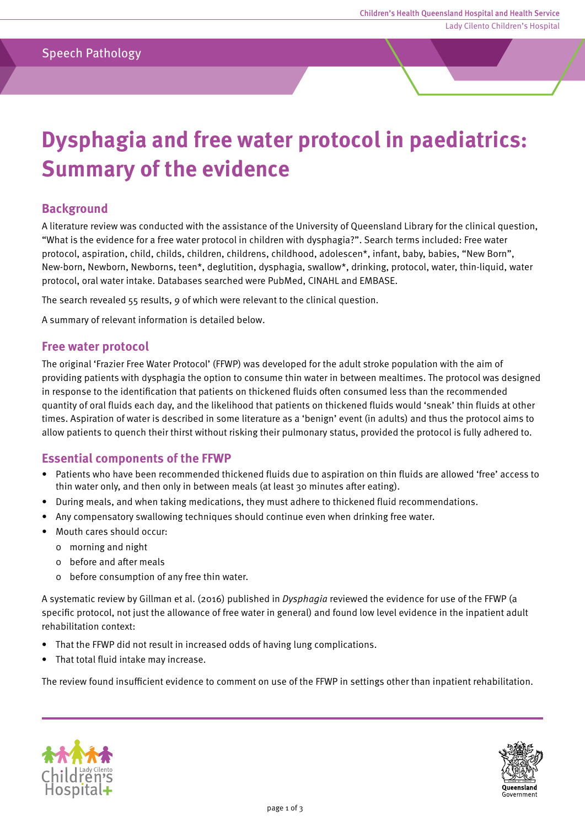# **Dysphagia and free water protocol in paediatrics: Summary of the evidence**

## **Background**

A literature review was conducted with the assistance of the University of Queensland Library for the clinical question, "What is the evidence for a free water protocol in children with dysphagia?". Search terms included: Free water protocol, aspiration, child, childs, children, childrens, childhood, adolescen\*, infant, baby, babies, "New Born", New-born, Newborn, Newborns, teen\*, deglutition, dysphagia, swallow\*, drinking, protocol, water, thin-liquid, water protocol, oral water intake. Databases searched were PubMed, CINAHL and EMBASE.

The search revealed 55 results, 9 of which were relevant to the clinical question.

A summary of relevant information is detailed below.

#### **Free water protocol**

The original 'Frazier Free Water Protocol' (FFWP) was developed for the adult stroke population with the aim of providing patients with dysphagia the option to consume thin water in between mealtimes. The protocol was designed in response to the identification that patients on thickened fluids often consumed less than the recommended quantity of oral fluids each day, and the likelihood that patients on thickened fluids would 'sneak' thin fluids at other times. Aspiration of water is described in some literature as a 'benign' event (in adults) and thus the protocol aims to allow patients to quench their thirst without risking their pulmonary status, provided the protocol is fully adhered to.

## **Essential components of the FFWP**

- Patients who have been recommended thickened fluids due to aspiration on thin fluids are allowed 'free' access to thin water only, and then only in between meals (at least 30 minutes after eating).
- During meals, and when taking medications, they must adhere to thickened fluid recommendations.
- Any compensatory swallowing techniques should continue even when drinking free water.
- Mouth cares should occur:
	- 0 morning and night
	- 0 before and after meals
	- 0 before consumption of any free thin water.

A systematic review by Gillman et al. (2016) published in Dysphagia reviewed the evidence for use of the FFWP (a specific protocol, not just the allowance of free water in general) and found low level evidence in the inpatient adult rehabilitation context:

- That the FFWP did not result in increased odds of having lung complications.
- That total fluid intake may increase.

The review found insufficient evidence to comment on use of the FFWP in settings other than inpatient rehabilitation.



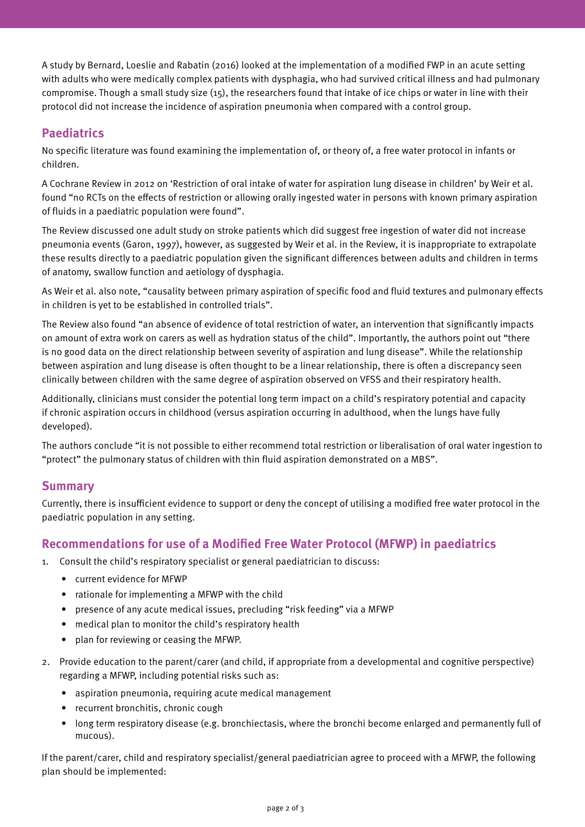A study by Bernard, Loeslie and Rabatin (2016) looked at the implementation of a modified FWP in an acute setting with adults who were medically complex patients with dysphagia, who had survived critical illness and had pulmonary compromise. Though a small study size (15), the researchers found that intake of ice chips or water in line with their protocol did not increase the incidence of aspiration pneumonia when compared with a control group.

# **Paediatrics**

No specific literature was found examining the implementation of, or theory of, a free water protocol in infants or children.

A Cochrane Review in 2012 on 'Restriction of oral intake of water for aspiration lung disease in children' by Weir et al. found "no RCTs on the effects of restriction or allowing orally ingested water in persons with known primary aspiration of fluids in a paediatric population were found".

The Review discussed one adult study on stroke patients which did suggest free ingestion of water did not increase pneumonia events (Garon, 1997), however, as suggested by Weir et al. in the Review, it is inappropriate to extrapolate these results directly to a paediatric population given the significant differences between adults and children in terms of anatomy, swallow function and aetiology of dysphagia.

As Weir et al. also note, "causality between primary aspiration of specific food and fluid textures and pulmonary effects in children is yet to be established in controlled trials".

The Review also found "an absence of evidence of total restriction of water, an intervention that significantly impacts on amount of extra work on carers as well as hydration status of the child". Importantly, the authors point out "there is no good data on the direct relationship between severity of aspiration and lung disease". While the relationship between aspiration and lung disease is often thought to be a linear relationship, there is often a discrepancy seen clinically between children with the same degree of aspiration observed on VFSS and their respiratory health.

Additionally, clinicians must consider the potential long term impact on a child's respiratory potential and capacity if chronic aspiration occurs in childhood (versus aspiration occurring in adulthood, when the lungs have fully developed).

The authors conclude "it is not possible to either recommend total restriction or liberalisation of oral water ingestion to "protect" the pulmonary status of children with thin fluid aspiration demonstrated on a MBS".

# **Summary**

Currently, there is insufficient evidence to support or deny the concept of utilising a modified free water protocol in the paediatric population in any setting.

# **Recommendations for use of a Modified Free Water Protocol (MFWP) in paediatrics**

- 1. Consult the child's respiratory specialist or general paediatrician to discuss:
	- current evidence for MFWP
	- rationale for implementing a MFWP with the child
	- presence of any acute medical issues, precluding "risk feeding" via a MFWP
	- medical plan to monitor the child's respiratory health
	- plan for reviewing or ceasing the MFWP.
- 2. Provide education to the parent/carer (and child, if appropriate from a developmental and cognitive perspective) regarding a MFWP, including potential risks such as:
	- aspiration pneumonia, requiring acute medical management
	- recurrent bronchitis, chronic cough
	- long term respiratory disease (e.g. bronchiectasis, where the bronchi become enlarged and permanently full of mucous).

If the parent/carer, child and respiratory specialist/general paediatrician agree to proceed with a MFWP, the following plan should be implemented: